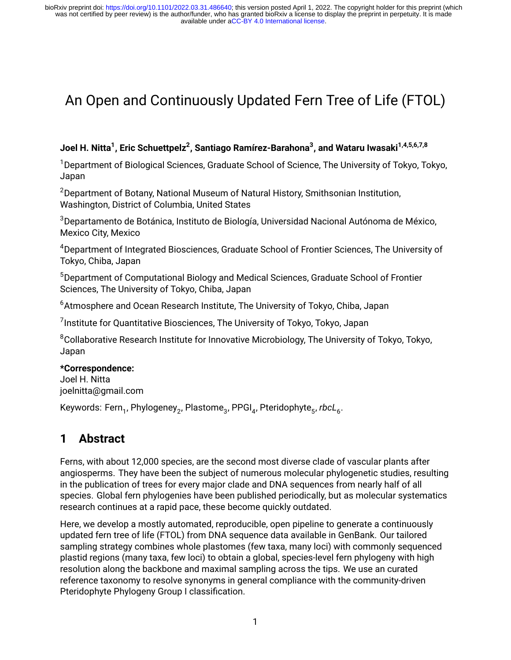# An Open and Continuously Updated Fern Tree of Life (FTOL)

#### **Joel H. Nitta<sup>1</sup> , Eric Schuettpelz<sup>2</sup> , Santiago Ramírez-Barahona<sup>3</sup> , and Wataru Iwasaki1,4,5,6,7,8**

<sup>1</sup> Department of Biological Sciences, Graduate School of Science, The University of Tokyo, Tokyo, Japan

<sup>2</sup> Department of Botany, National Museum of Natural History, Smithsonian Institution, Washington, District of Columbia, United States

<sup>3</sup>Departamento de Botánica, Instituto de Biología, Universidad Nacional Autónoma de México, Mexico City, Mexico

<sup>4</sup>Department of Integrated Biosciences, Graduate School of Frontier Sciences, The University of Tokyo, Chiba, Japan

<sup>5</sup>Department of Computational Biology and Medical Sciences, Graduate School of Frontier Sciences, The University of Tokyo, Chiba, Japan

<sup>6</sup> Atmosphere and Ocean Research Institute, The University of Tokyo, Chiba, Japan

 $^{7}$ Institute for Quantitative Biosciences, The University of Tokyo, Tokyo, Japan

<sup>8</sup>Collaborative Research Institute for Innovative Microbiology, The University of Tokyo, Tokyo, Japan

#### **\*Correspondence:**

Joel H. Nitta [joelnitta@gmail.com](mailto:joelnitta@gmail.com)

Keywords: Fern<sub>1</sub>, Phylogeney<sub>2</sub>, Plastome<sub>3</sub>, PPGI<sub>4</sub>, Pteridophyte<sub>5</sub>, rbcL<sub>6</sub>.

# **1 Abstract**

Ferns, with about 12,000 species, are the second most diverse clade of vascular plants after angiosperms. They have been the subject of numerous molecular phylogenetic studies, resulting in the publication of trees for every major clade and DNA sequences from nearly half of all species. Global fern phylogenies have been published periodically, but as molecular systematics research continues at a rapid pace, these become quickly outdated.

Here, we develop a mostly automated, reproducible, open pipeline to generate a continuously updated fern tree of life (FTOL) from DNA sequence data available in GenBank. Our tailored sampling strategy combines whole plastomes (few taxa, many loci) with commonly sequenced plastid regions (many taxa, few loci) to obtain a global, species-level fern phylogeny with high resolution along the backbone and maximal sampling across the tips. We use an curated reference taxonomy to resolve synonyms in general compliance with the community-driven Pteridophyte Phylogeny Group I classification.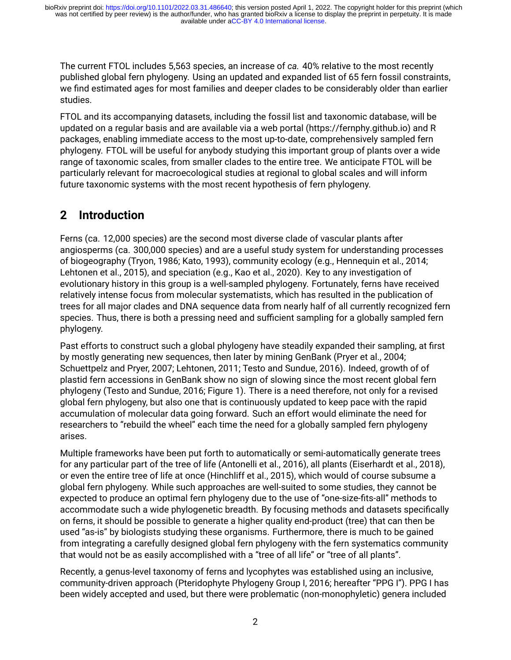The current FTOL includes 5,563 species, an increase of *ca.* 40% relative to the most recently published global fern phylogeny. Using an updated and expanded list of 65 fern fossil constraints, we find estimated ages for most families and deeper clades to be considerably older than earlier studies.

FTOL and its accompanying datasets, including the fossil list and taxonomic database, will be updated on a regular basis and are available via a web portal [\(https://fernphy.github.io](https://fernphy.github.io)) and R packages, enabling immediate access to the most up-to-date, comprehensively sampled fern phylogeny. FTOL will be useful for anybody studying this important group of plants over a wide range of taxonomic scales, from smaller clades to the entire tree. We anticipate FTOL will be particularly relevant for macroecological studies at regional to global scales and will inform future taxonomic systems with the most recent hypothesis of fern phylogeny.

# **2 Introduction**

Ferns (ca. 12,000 species) are the second most diverse clade of vascular plants after angiosperms (ca. 300,000 species) and are a useful study system for understanding processes of biogeography (Tryon, 1986; Kato, 1993), community ecology (e.g., Hennequin et al., 2014; Lehtonen et al., 2015), and speciation (e.g., Kao et al., 2020). Key to any investigation of evolutionary history in this group is a well-sampled phylogeny. Fortunately, ferns have received relatively intense focus from molecular systematists, which has resulted in the publication of trees for all major clades and DNA sequence data from nearly half of all currently recognized fern species. Thus, there is both a pressing need and sufficient sampling for a globally sampled fern phylogeny.

Past efforts to construct such a global phylogeny have steadily expanded their sampling, at first by mostly generating new sequences, then later by mining GenBank (Pryer et al., 2004; Schuettpelz and Pryer, 2007; Lehtonen, 2011; Testo and Sundue, 2016). Indeed, growth of of plastid fern accessions in GenBank show no sign of slowing since the most recent global fern phylogeny (Testo and Sundue, 2016; Figure 1). There is a need therefore, not only for a revised global fern phylogeny, but also one that is continuously updated to keep pace with the rapid accumulation of molecular data going forward. Such an effort would eliminate the need for researchers to "rebuild the wheel" each time the need for a globally sampled fern phylogeny arises.

Multiple frameworks have been put forth to automatically or semi-automatically generate trees for any particular part of the tree of life (Antonelli et al., 2016), all plants (Eiserhardt et al., 2018), or even the entire tree of life at once (Hinchliff et al., 2015), which would of course subsume a global fern phylogeny. While such approaches are well-suited to some studies, they cannot be expected to produce an optimal fern phylogeny due to the use of "one-size-fits-all" methods to accommodate such a wide phylogenetic breadth. By focusing methods and datasets specifically on ferns, it should be possible to generate a higher quality end-product (tree) that can then be used "as-is" by biologists studying these organisms. Furthermore, there is much to be gained from integrating a carefully designed global fern phylogeny with the fern systematics community that would not be as easily accomplished with a "tree of all life" or "tree of all plants".

Recently, a genus-level taxonomy of ferns and lycophytes was established using an inclusive, community-driven approach (Pteridophyte Phylogeny Group I, 2016; hereafter "PPG I"). PPG I has been widely accepted and used, but there were problematic (non-monophyletic) genera included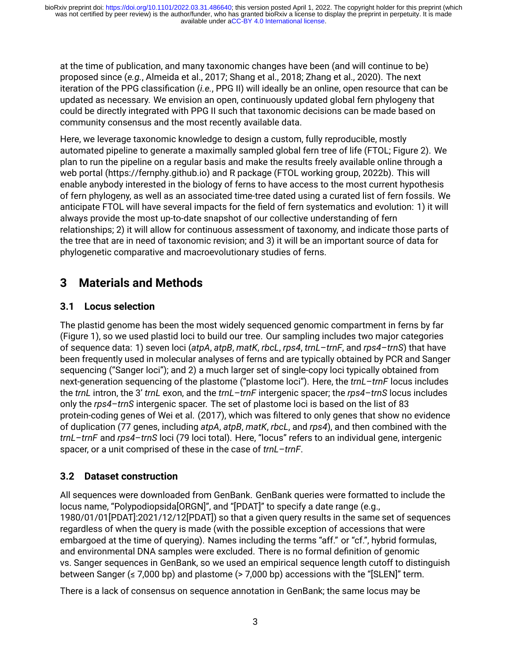at the time of publication, and many taxonomic changes have been (and will continue to be) proposed since (*e.g.*, Almeida et al., 2017; Shang et al., 2018; Zhang et al., 2020). The next iteration of the PPG classification (*i.e.*, PPG II) will ideally be an online, open resource that can be updated as necessary. We envision an open, continuously updated global fern phylogeny that could be directly integrated with PPG II such that taxonomic decisions can be made based on community consensus and the most recently available data.

Here, we leverage taxonomic knowledge to design a custom, fully reproducible, mostly automated pipeline to generate a maximally sampled global fern tree of life (FTOL; Figure 2). We plan to run the pipeline on a regular basis and make the results freely available online through a web portal([https://fernphy.github.io\)](https://fernphy.github.io) and R package (FTOL working group, 2022b). This will enable anybody interested in the biology of ferns to have access to the most current hypothesis of fern phylogeny, as well as an associated time-tree dated using a curated list of fern fossils. We anticipate FTOL will have several impacts for the field of fern systematics and evolution: 1) it will always provide the most up-to-date snapshot of our collective understanding of fern relationships; 2) it will allow for continuous assessment of taxonomy, and indicate those parts of the tree that are in need of taxonomic revision; and 3) it will be an important source of data for phylogenetic comparative and macroevolutionary studies of ferns.

# **3 Materials and Methods**

# **3.1 Locus selection**

The plastid genome has been the most widely sequenced genomic compartment in ferns by far (Figure 1), so we used plastid loci to build our tree. Our sampling includes two major categories of sequence data: 1) seven loci (*atpA*, *atpB*, *matK*, *rbcL*, *rps4*, *trnL*–*trnF*, and *rps4*–*trnS*) that have been frequently used in molecular analyses of ferns and are typically obtained by PCR and Sanger sequencing ("Sanger loci"); and 2) a much larger set of single-copy loci typically obtained from next-generation sequencing of the plastome ("plastome loci"). Here, the *trnL*–*trnF* locus includes the *trnL* intron, the 3' *trnL* exon, and the *trnL*–*trnF* intergenic spacer; the *rps4*–*trnS* locus includes only the *rps4*–*trnS* intergenic spacer. The set of plastome loci is based on the list of 83 protein-coding genes of Wei et al. (2017), which was filtered to only genes that show no evidence of duplication (77 genes, including *atpA*, *atpB*, *matK*, *rbcL*, and *rps4*), and then combined with the *trnL*–*trnF* and *rps4*–*trnS* loci (79 loci total). Here, "locus" refers to an individual gene, intergenic spacer, or a unit comprised of these in the case of *trnL*–*trnF*.

# **3.2 Dataset construction**

All sequences were downloaded from GenBank. GenBank queries were formatted to include the locus name, "Polypodiopsida[ORGN]", and "[PDAT]" to specify a date range (e.g., 1980/01/01[PDAT]:2021/12/12[PDAT]) so that a given query results in the same set of sequences regardless of when the query is made (with the possible exception of accessions that were embargoed at the time of querying). Names including the terms "aff." or "cf.", hybrid formulas, and environmental DNA samples were excluded. There is no formal definition of genomic vs. Sanger sequences in GenBank, so we used an empirical sequence length cutoff to distinguish between Sanger ( $\leq$  7,000 bp) and plastome ( $>$  7,000 bp) accessions with the "[SLEN]" term.

There is a lack of consensus on sequence annotation in GenBank; the same locus may be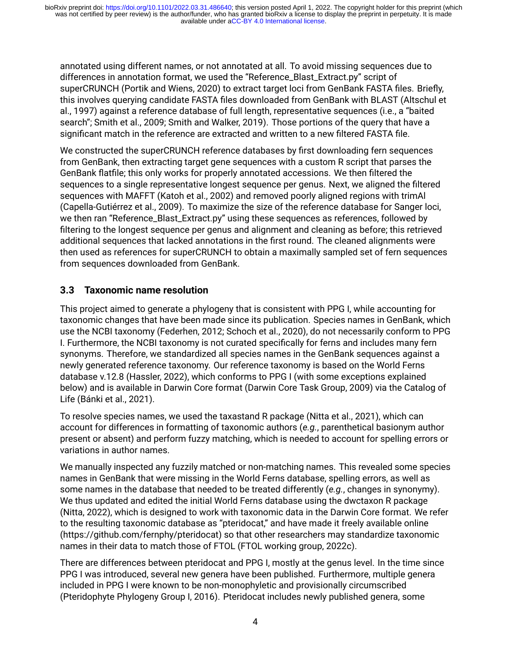annotated using different names, or not annotated at all. To avoid missing sequences due to differences in annotation format, we used the "Reference\_Blast\_Extract.py" script of superCRUNCH (Portik and Wiens, 2020) to extract target loci from GenBank FASTA files. Briefly, this involves querying candidate FASTA files downloaded from GenBank with BLAST (Altschul et al., 1997) against a reference database of full length, representative sequences (i.e., a "baited search"; Smith et al., 2009; Smith and Walker, 2019). Those portions of the query that have a significant match in the reference are extracted and written to a new filtered FASTA file.

We constructed the superCRUNCH reference databases by first downloading fern sequences from GenBank, then extracting target gene sequences with a custom R script that parses the GenBank flatfile; this only works for properly annotated accessions. We then filtered the sequences to a single representative longest sequence per genus. Next, we aligned the filtered sequences with MAFFT (Katoh et al., 2002) and removed poorly aligned regions with trimAl (Capella-Gutiérrez et al., 2009). To maximize the size of the reference database for Sanger loci, we then ran "Reference\_Blast\_Extract.py" using these sequences as references, followed by filtering to the longest sequence per genus and alignment and cleaning as before; this retrieved additional sequences that lacked annotations in the first round. The cleaned alignments were then used as references for superCRUNCH to obtain a maximally sampled set of fern sequences from sequences downloaded from GenBank.

#### **3.3 Taxonomic name resolution**

This project aimed to generate a phylogeny that is consistent with PPG I, while accounting for taxonomic changes that have been made since its publication. Species names in GenBank, which use the NCBI taxonomy (Federhen, 2012; Schoch et al., 2020), do not necessarily conform to PPG I. Furthermore, the NCBI taxonomy is not curated specifically for ferns and includes many fern synonyms. Therefore, we standardized all species names in the GenBank sequences against a newly generated reference taxonomy. Our reference taxonomy is based on the World Ferns database v.12.8 (Hassler, 2022), which conforms to PPG I (with some exceptions explained below) and is available in Darwin Core format (Darwin Core Task Group, 2009) via the Catalog of Life (Bánki et al., 2021).

To resolve species names, we used the taxastand R package (Nitta et al., 2021), which can account for differences in formatting of taxonomic authors (*e.g.*, parenthetical basionym author present or absent) and perform fuzzy matching, which is needed to account for spelling errors or variations in author names.

We manually inspected any fuzzily matched or non-matching names. This revealed some species names in GenBank that were missing in the World Ferns database, spelling errors, as well as some names in the database that needed to be treated differently (*e.g.*, changes in synonymy). We thus updated and edited the initial World Ferns database using the dwctaxon R package (Nitta, 2022), which is designed to work with taxonomic data in the Darwin Core format. We refer to the resulting taxonomic database as "pteridocat," and have made it freely available online (<https://github.com/fernphy/pteridocat>) so that other researchers may standardize taxonomic names in their data to match those of FTOL (FTOL working group, 2022c).

There are differences between pteridocat and PPG I, mostly at the genus level. In the time since PPG I was introduced, several new genera have been published. Furthermore, multiple genera included in PPG I were known to be non-monophyletic and provisionally circumscribed (Pteridophyte Phylogeny Group I, 2016). Pteridocat includes newly published genera, some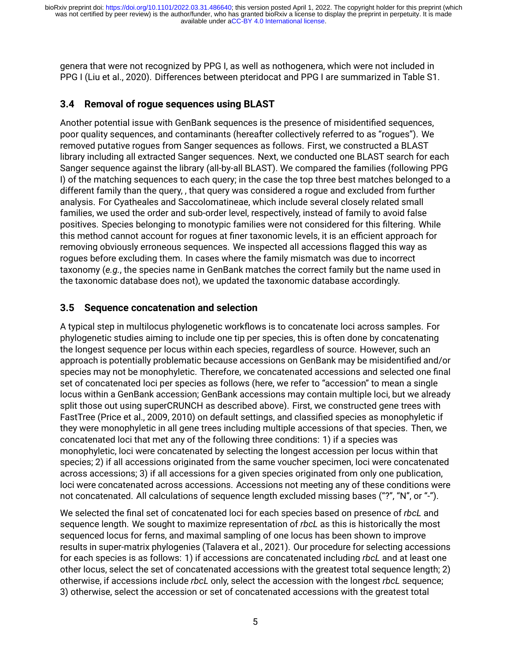genera that were not recognized by PPG I, as well as nothogenera, which were not included in PPG I (Liu et al., 2020). Differences between pteridocat and PPG I are summarized in Table S1.

# **3.4 Removal of rogue sequences using BLAST**

Another potential issue with GenBank sequences is the presence of misidentified sequences, poor quality sequences, and contaminants (hereafter collectively referred to as "rogues"). We removed putative rogues from Sanger sequences as follows. First, we constructed a BLAST library including all extracted Sanger sequences. Next, we conducted one BLAST search for each Sanger sequence against the library (all-by-all BLAST). We compared the families (following PPG I) of the matching sequences to each query; in the case the top three best matches belonged to a different family than the query, , that query was considered a rogue and excluded from further analysis. For Cyatheales and Saccolomatineae, which include several closely related small families, we used the order and sub-order level, respectively, instead of family to avoid false positives. Species belonging to monotypic families were not considered for this filtering. While this method cannot account for rogues at finer taxonomic levels, it is an efficient approach for removing obviously erroneous sequences. We inspected all accessions flagged this way as rogues before excluding them. In cases where the family mismatch was due to incorrect taxonomy (*e.g.*, the species name in GenBank matches the correct family but the name used in the taxonomic database does not), we updated the taxonomic database accordingly.

#### **3.5 Sequence concatenation and selection**

A typical step in multilocus phylogenetic workflows is to concatenate loci across samples. For phylogenetic studies aiming to include one tip per species, this is often done by concatenating the longest sequence per locus within each species, regardless of source. However, such an approach is potentially problematic because accessions on GenBank may be misidentified and/or species may not be monophyletic. Therefore, we concatenated accessions and selected one final set of concatenated loci per species as follows (here, we refer to "accession" to mean a single locus within a GenBank accession; GenBank accessions may contain multiple loci, but we already split those out using superCRUNCH as described above). First, we constructed gene trees with FastTree (Price et al., 2009, 2010) on default settings, and classified species as monophyletic if they were monophyletic in all gene trees including multiple accessions of that species. Then, we concatenated loci that met any of the following three conditions: 1) if a species was monophyletic, loci were concatenated by selecting the longest accession per locus within that species; 2) if all accessions originated from the same voucher specimen, loci were concatenated across accessions; 3) if all accessions for a given species originated from only one publication, loci were concatenated across accessions. Accessions not meeting any of these conditions were not concatenated. All calculations of sequence length excluded missing bases ("?", "N", or "-").

We selected the final set of concatenated loci for each species based on presence of *rbcL* and sequence length. We sought to maximize representation of *rbcL* as this is historically the most sequenced locus for ferns, and maximal sampling of one locus has been shown to improve results in super-matrix phylogenies (Talavera et al., 2021). Our procedure for selecting accessions for each species is as follows: 1) if accessions are concatenated including *rbcL* and at least one other locus, select the set of concatenated accessions with the greatest total sequence length; 2) otherwise, if accessions include *rbcL* only, select the accession with the longest *rbcL* sequence; 3) otherwise, select the accession or set of concatenated accessions with the greatest total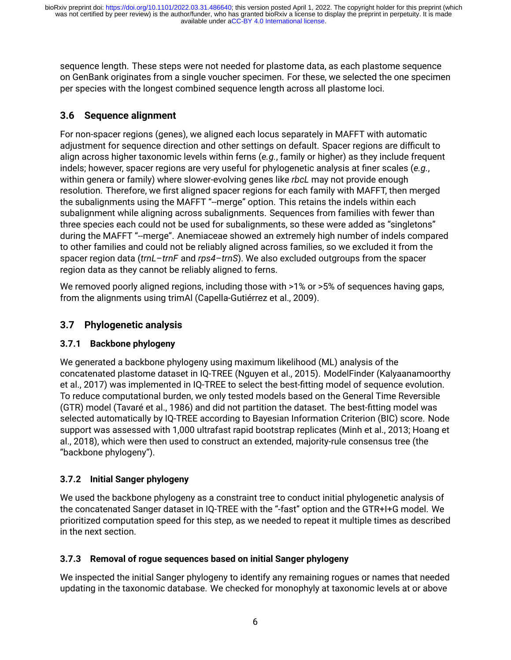sequence length. These steps were not needed for plastome data, as each plastome sequence on GenBank originates from a single voucher specimen. For these, we selected the one specimen per species with the longest combined sequence length across all plastome loci.

# **3.6 Sequence alignment**

For non-spacer regions (genes), we aligned each locus separately in MAFFT with automatic adjustment for sequence direction and other settings on default. Spacer regions are difficult to align across higher taxonomic levels within ferns (*e.g.*, family or higher) as they include frequent indels; however, spacer regions are very useful for phylogenetic analysis at finer scales (*e.g.*, within genera or family) where slower-evolving genes like *rbcL* may not provide enough resolution. Therefore, we first aligned spacer regions for each family with MAFFT, then merged the subalignments using the MAFFT "--merge" option. This retains the indels within each subalignment while aligning across subalignments. Sequences from families with fewer than three species each could not be used for subalignments, so these were added as "singletons" during the MAFFT "--merge". Anemiaceae showed an extremely high number of indels compared to other families and could not be reliably aligned across families, so we excluded it from the spacer region data (*trnL*–*trnF* and *rps4*–*trnS*). We also excluded outgroups from the spacer region data as they cannot be reliably aligned to ferns.

We removed poorly aligned regions, including those with  $>1\%$  or  $>5\%$  of sequences having gaps, from the alignments using trimAl (Capella-Gutiérrez et al., 2009).

# **3.7 Phylogenetic analysis**

# **3.7.1 Backbone phylogeny**

We generated a backbone phylogeny using maximum likelihood (ML) analysis of the concatenated plastome dataset in IQ-TREE (Nguyen et al., 2015). ModelFinder (Kalyaanamoorthy et al., 2017) was implemented in IQ-TREE to select the best-fitting model of sequence evolution. To reduce computational burden, we only tested models based on the General Time Reversible (GTR) model (Tavaré et al., 1986) and did not partition the dataset. The best-fitting model was selected automatically by IQ-TREE according to Bayesian Information Criterion (BIC) score. Node support was assessed with 1,000 ultrafast rapid bootstrap replicates (Minh et al., 2013; Hoang et al., 2018), which were then used to construct an extended, majority-rule consensus tree (the "backbone phylogeny").

# **3.7.2 Initial Sanger phylogeny**

We used the backbone phylogeny as a constraint tree to conduct initial phylogenetic analysis of the concatenated Sanger dataset in IQ-TREE with the "-fast" option and the GTR+I+G model. We prioritized computation speed for this step, as we needed to repeat it multiple times as described in the next section.

# **3.7.3 Removal of rogue sequences based on initial Sanger phylogeny**

We inspected the initial Sanger phylogeny to identify any remaining rogues or names that needed updating in the taxonomic database. We checked for monophyly at taxonomic levels at or above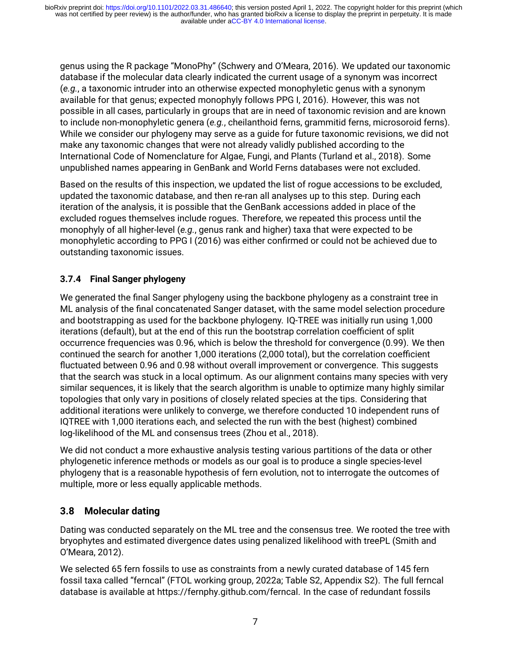genus using the R package "MonoPhy" (Schwery and O'Meara, 2016). We updated our taxonomic database if the molecular data clearly indicated the current usage of a synonym was incorrect (*e.g.*, a taxonomic intruder into an otherwise expected monophyletic genus with a synonym available for that genus; expected monophyly follows PPG I, 2016). However, this was not possible in all cases, particularly in groups that are in need of taxonomic revision and are known to include non-monophyletic genera (*e.g.*, cheilanthoid ferns, grammitid ferns, microsoroid ferns). While we consider our phylogeny may serve as a guide for future taxonomic revisions, we did not make any taxonomic changes that were not already validly published according to the International Code of Nomenclature for Algae, Fungi, and Plants (Turland et al., 2018). Some unpublished names appearing in GenBank and World Ferns databases were not excluded.

Based on the results of this inspection, we updated the list of rogue accessions to be excluded, updated the taxonomic database, and then re-ran all analyses up to this step. During each iteration of the analysis, it is possible that the GenBank accessions added in place of the excluded rogues themselves include rogues. Therefore, we repeated this process until the monophyly of all higher-level (*e.g.*, genus rank and higher) taxa that were expected to be monophyletic according to PPG I (2016) was either confirmed or could not be achieved due to outstanding taxonomic issues.

# **3.7.4 Final Sanger phylogeny**

We generated the final Sanger phylogeny using the backbone phylogeny as a constraint tree in ML analysis of the final concatenated Sanger dataset, with the same model selection procedure and bootstrapping as used for the backbone phylogeny. IQ-TREE was initially run using 1,000 iterations (default), but at the end of this run the bootstrap correlation coefficient of split occurrence frequencies was 0.96, which is below the threshold for convergence (0.99). We then continued the search for another 1,000 iterations (2,000 total), but the correlation coefficient fluctuated between 0.96 and 0.98 without overall improvement or convergence. This suggests that the search was stuck in a local optimum. As our alignment contains many species with very similar sequences, it is likely that the search algorithm is unable to optimize many highly similar topologies that only vary in positions of closely related species at the tips. Considering that additional iterations were unlikely to converge, we therefore conducted 10 independent runs of IQTREE with 1,000 iterations each, and selected the run with the best (highest) combined log-likelihood of the ML and consensus trees (Zhou et al., 2018).

We did not conduct a more exhaustive analysis testing various partitions of the data or other phylogenetic inference methods or models as our goal is to produce a single species-level phylogeny that is a reasonable hypothesis of fern evolution, not to interrogate the outcomes of multiple, more or less equally applicable methods.

# **3.8 Molecular dating**

Dating was conducted separately on the ML tree and the consensus tree. We rooted the tree with bryophytes and estimated divergence dates using penalized likelihood with treePL (Smith and O'Meara, 2012).

We selected 65 fern fossils to use as constraints from a newly curated database of 145 fern fossil taxa called "ferncal" (FTOL working group, 2022a; Table S2, Appendix S2). The full ferncal database is available at<https://fernphy.github.com/ferncal>. In the case of redundant fossils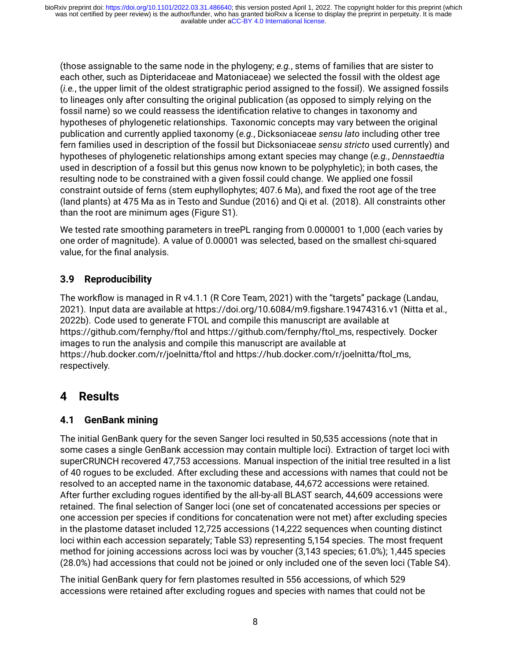(those assignable to the same node in the phylogeny; *e.g.*, stems of families that are sister to each other, such as Dipteridaceae and Matoniaceae) we selected the fossil with the oldest age (*i.e.*, the upper limit of the oldest stratigraphic period assigned to the fossil). We assigned fossils to lineages only after consulting the original publication (as opposed to simply relying on the fossil name) so we could reassess the identification relative to changes in taxonomy and hypotheses of phylogenetic relationships. Taxonomic concepts may vary between the original publication and currently applied taxonomy (*e.g.*, Dicksoniaceae *sensu lato* including other tree fern families used in description of the fossil but Dicksoniaceae *sensu stricto* used currently) and hypotheses of phylogenetic relationships among extant species may change (*e.g.*, *Dennstaedtia* used in description of a fossil but this genus now known to be polyphyletic); in both cases, the resulting node to be constrained with a given fossil could change. We applied one fossil constraint outside of ferns (stem euphyllophytes; 407.6 Ma), and fixed the root age of the tree (land plants) at 475 Ma as in Testo and Sundue (2016) and Qi et al. (2018). All constraints other than the root are minimum ages (Figure S1).

We tested rate smoothing parameters in treePL ranging from 0.000001 to 1,000 (each varies by one order of magnitude). A value of 0.00001 was selected, based on the smallest chi-squared value, for the final analysis.

# **3.9 Reproducibility**

The workflow is managed in R v4.1.1 (R Core Team, 2021) with the "targets" package (Landau, 2021). Input data are available at<https://doi.org/10.6084/m9.figshare.19474316.v1> (Nitta et al., 2022b). Code used to generate FTOL and compile this manuscript are available at <https://github.com/fernphy/ftol> and [https://github.com/fernphy/ftol\\_ms,](https://github.com/fernphy/ftol_ms) respectively. Docker images to run the analysis and compile this manuscript are available at <https://hub.docker.com/r/joelnitta/ftol> and [https://hub.docker.com/r/joelnitta/ftol\\_ms](https://hub.docker.com/r/joelnitta/ftol_ms), respectively.

# **4 Results**

# **4.1 GenBank mining**

The initial GenBank query for the seven Sanger loci resulted in 50,535 accessions (note that in some cases a single GenBank accession may contain multiple loci). Extraction of target loci with superCRUNCH recovered 47,753 accessions. Manual inspection of the initial tree resulted in a list of 40 rogues to be excluded. After excluding these and accessions with names that could not be resolved to an accepted name in the taxonomic database, 44,672 accessions were retained. After further excluding rogues identified by the all-by-all BLAST search, 44,609 accessions were retained. The final selection of Sanger loci (one set of concatenated accessions per species or one accession per species if conditions for concatenation were not met) after excluding species in the plastome dataset included 12,725 accessions (14,222 sequences when counting distinct loci within each accession separately; Table S3) representing 5,154 species. The most frequent method for joining accessions across loci was by voucher (3,143 species; 61.0%); 1,445 species (28.0%) had accessions that could not be joined or only included one of the seven loci (Table S4).

The initial GenBank query for fern plastomes resulted in 556 accessions, of which 529 accessions were retained after excluding rogues and species with names that could not be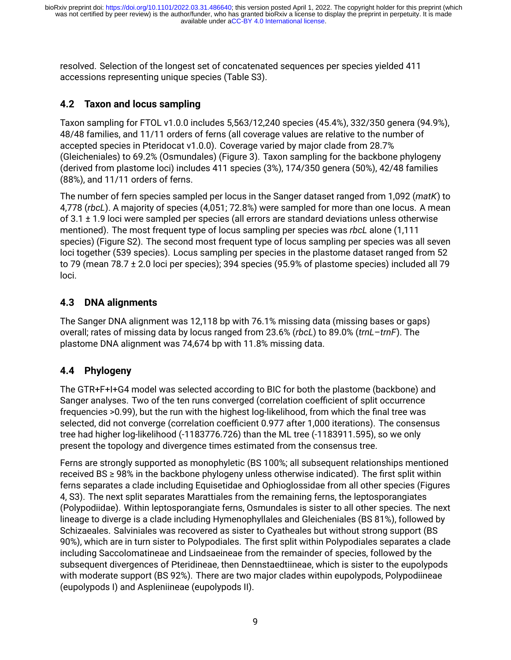resolved. Selection of the longest set of concatenated sequences per species yielded 411 accessions representing unique species (Table S3).

# **4.2 Taxon and locus sampling**

Taxon sampling for FTOL v1.0.0 includes 5,563/12,240 species (45.4%), 332/350 genera (94.9%), 48/48 families, and 11/11 orders of ferns (all coverage values are relative to the number of accepted species in Pteridocat v1.0.0). Coverage varied by major clade from 28.7% (Gleicheniales) to 69.2% (Osmundales) (Figure 3). Taxon sampling for the backbone phylogeny (derived from plastome loci) includes 411 species (3%), 174/350 genera (50%), 42/48 families (88%), and 11/11 orders of ferns.

The number of fern species sampled per locus in the Sanger dataset ranged from 1,092 (*matK*) to 4,778 (*rbcL*). A majority of species (4,051; 72.8%) were sampled for more than one locus. A mean of  $3.1 \pm 1.9$  loci were sampled per species (all errors are standard deviations unless otherwise mentioned). The most frequent type of locus sampling per species was *rbcL* alone (1,111 species) (Figure S2). The second most frequent type of locus sampling per species was all seven loci together (539 species). Locus sampling per species in the plastome dataset ranged from 52 to 79 (mean 78.7 ± 2.0 loci per species); 394 species (95.9% of plastome species) included all 79 loci.

# **4.3 DNA alignments**

The Sanger DNA alignment was 12,118 bp with 76.1% missing data (missing bases or gaps) overall; rates of missing data by locus ranged from 23.6% (*rbcL*) to 89.0% (*trnL*–*trnF*). The plastome DNA alignment was 74,674 bp with 11.8% missing data.

# **4.4 Phylogeny**

The GTR+F+I+G4 model was selected according to BIC for both the plastome (backbone) and Sanger analyses. Two of the ten runs converged (correlation coefficient of split occurrence frequencies >0.99), but the run with the highest log-likelihood, from which the final tree was selected, did not converge (correlation coefficient 0.977 after 1,000 iterations). The consensus tree had higher log-likelihood (-1183776.726) than the ML tree (-1183911.595), so we only present the topology and divergence times estimated from the consensus tree.

Ferns are strongly supported as monophyletic (BS 100%; all subsequent relationships mentioned received BS ≥ 98% in the backbone phylogeny unless otherwise indicated). The first split within ferns separates a clade including Equisetidae and Ophioglossidae from all other species (Figures 4, S3). The next split separates Marattiales from the remaining ferns, the leptosporangiates (Polypodiidae). Within leptosporangiate ferns, Osmundales is sister to all other species. The next lineage to diverge is a clade including Hymenophyllales and Gleicheniales (BS 81%), followed by Schizaeales. Salviniales was recovered as sister to Cyatheales but without strong support (BS 90%), which are in turn sister to Polypodiales. The first split within Polypodiales separates a clade including Saccolomatineae and Lindsaeineae from the remainder of species, followed by the subsequent divergences of Pteridineae, then Dennstaedtiineae, which is sister to the eupolypods with moderate support (BS 92%). There are two major clades within eupolypods, Polypodiineae (eupolypods I) and Aspleniineae (eupolypods II).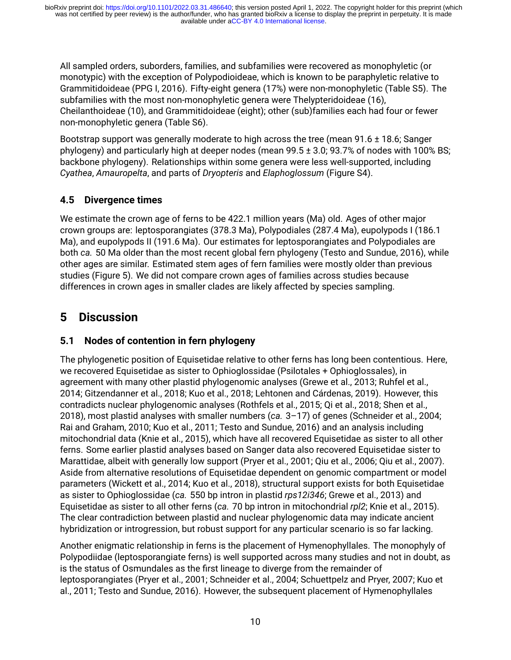All sampled orders, suborders, families, and subfamilies were recovered as monophyletic (or monotypic) with the exception of Polypodioideae, which is known to be paraphyletic relative to Grammitidoideae (PPG I, 2016). Fifty-eight genera (17%) were non-monophyletic (Table S5). The subfamilies with the most non-monophyletic genera were Thelypteridoideae (16), Cheilanthoideae (10), and Grammitidoideae (eight); other (sub)families each had four or fewer non-monophyletic genera (Table S6).

Bootstrap support was generally moderate to high across the tree (mean 91.6 ± 18.6; Sanger phylogeny) and particularly high at deeper nodes (mean 99.5 ± 3.0; 93.7% of nodes with 100% BS; backbone phylogeny). Relationships within some genera were less well-supported, including *Cyathea*, *Amauropelta*, and parts of *Dryopteris* and *Elaphoglossum* (Figure S4).

# **4.5 Divergence times**

We estimate the crown age of ferns to be 422.1 million years (Ma) old. Ages of other major crown groups are: leptosporangiates (378.3 Ma), Polypodiales (287.4 Ma), eupolypods I (186.1 Ma), and eupolypods II (191.6 Ma). Our estimates for leptosporangiates and Polypodiales are both *ca.* 50 Ma older than the most recent global fern phylogeny (Testo and Sundue, 2016), while other ages are similar. Estimated stem ages of fern families were mostly older than previous studies (Figure 5). We did not compare crown ages of families across studies because differences in crown ages in smaller clades are likely affected by species sampling.

# **5 Discussion**

# **5.1 Nodes of contention in fern phylogeny**

The phylogenetic position of Equisetidae relative to other ferns has long been contentious. Here, we recovered Equisetidae as sister to Ophioglossidae (Psilotales + Ophioglossales), in agreement with many other plastid phylogenomic analyses (Grewe et al., 2013; Ruhfel et al., 2014; Gitzendanner et al., 2018; Kuo et al., 2018; Lehtonen and Cárdenas, 2019). However, this contradicts nuclear phylogenomic analyses (Rothfels et al., 2015; Qi et al., 2018; Shen et al., 2018), most plastid analyses with smaller numbers (*ca.* 3–17) of genes (Schneider et al., 2004; Rai and Graham, 2010; Kuo et al., 2011; Testo and Sundue, 2016) and an analysis including mitochondrial data (Knie et al., 2015), which have all recovered Equisetidae as sister to all other ferns. Some earlier plastid analyses based on Sanger data also recovered Equisetidae sister to Marattidae, albeit with generally low support (Pryer et al., 2001; Qiu et al., 2006; Qiu et al., 2007). Aside from alternative resolutions of Equisetidae dependent on genomic compartment or model parameters (Wickett et al., 2014; Kuo et al., 2018), structural support exists for both Equisetidae as sister to Ophioglossidae (*ca.* 550 bp intron in plastid *rps12i346*; Grewe et al., 2013) and Equisetidae as sister to all other ferns (*ca.* 70 bp intron in mitochondrial *rpl2*; Knie et al., 2015). The clear contradiction between plastid and nuclear phylogenomic data may indicate ancient hybridization or introgression, but robust support for any particular scenario is so far lacking.

Another enigmatic relationship in ferns is the placement of Hymenophyllales. The monophyly of Polypodiidae (leptosporangiate ferns) is well supported across many studies and not in doubt, as is the status of Osmundales as the first lineage to diverge from the remainder of leptosporangiates (Pryer et al., 2001; Schneider et al., 2004; Schuettpelz and Pryer, 2007; Kuo et al., 2011; Testo and Sundue, 2016). However, the subsequent placement of Hymenophyllales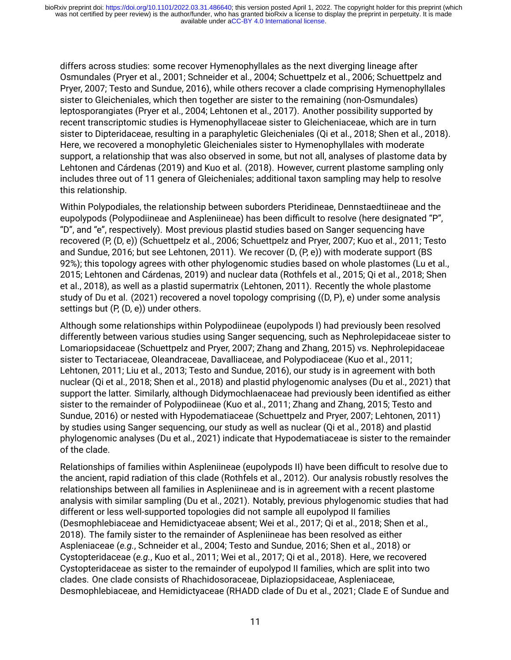differs across studies: some recover Hymenophyllales as the next diverging lineage after Osmundales (Pryer et al., 2001; Schneider et al., 2004; Schuettpelz et al., 2006; Schuettpelz and Pryer, 2007; Testo and Sundue, 2016), while others recover a clade comprising Hymenophyllales sister to Gleicheniales, which then together are sister to the remaining (non-Osmundales) leptosporangiates (Pryer et al., 2004; Lehtonen et al., 2017). Another possibility supported by recent transcriptomic studies is Hymenophyllaceae sister to Gleicheniaceae, which are in turn sister to Dipteridaceae, resulting in a paraphyletic Gleicheniales (Qi et al., 2018; Shen et al., 2018). Here, we recovered a monophyletic Gleicheniales sister to Hymenophyllales with moderate support, a relationship that was also observed in some, but not all, analyses of plastome data by Lehtonen and Cárdenas (2019) and Kuo et al. (2018). However, current plastome sampling only includes three out of 11 genera of Gleicheniales; additional taxon sampling may help to resolve this relationship.

Within Polypodiales, the relationship between suborders Pteridineae, Dennstaedtiineae and the eupolypods (Polypodiineae and Aspleniineae) has been difficult to resolve (here designated "P", "D", and "e", respectively). Most previous plastid studies based on Sanger sequencing have recovered (P, (D, e)) (Schuettpelz et al., 2006; Schuettpelz and Pryer, 2007; Kuo et al., 2011; Testo and Sundue, 2016; but see Lehtonen, 2011). We recover (D, (P, e)) with moderate support (BS 92%); this topology agrees with other phylogenomic studies based on whole plastomes (Lu et al., 2015; Lehtonen and Cárdenas, 2019) and nuclear data (Rothfels et al., 2015; Qi et al., 2018; Shen et al., 2018), as well as a plastid supermatrix (Lehtonen, 2011). Recently the whole plastome study of Du et al. (2021) recovered a novel topology comprising ((D, P), e) under some analysis settings but (P, (D, e)) under others.

Although some relationships within Polypodiineae (eupolypods I) had previously been resolved differently between various studies using Sanger sequencing, such as Nephrolepidaceae sister to Lomariopsidaceae (Schuettpelz and Pryer, 2007; Zhang and Zhang, 2015) vs. Nephrolepidaceae sister to Tectariaceae, Oleandraceae, Davalliaceae, and Polypodiaceae (Kuo et al., 2011; Lehtonen, 2011; Liu et al., 2013; Testo and Sundue, 2016), our study is in agreement with both nuclear (Qi et al., 2018; Shen et al., 2018) and plastid phylogenomic analyses (Du et al., 2021) that support the latter. Similarly, although Didymochlaenaceae had previously been identified as either sister to the remainder of Polypodiineae (Kuo et al., 2011; Zhang and Zhang, 2015; Testo and Sundue, 2016) or nested with Hypodematiaceae (Schuettpelz and Pryer, 2007; Lehtonen, 2011) by studies using Sanger sequencing, our study as well as nuclear (Qi et al., 2018) and plastid phylogenomic analyses (Du et al., 2021) indicate that Hypodematiaceae is sister to the remainder of the clade.

Relationships of families within Aspleniineae (eupolypods II) have been difficult to resolve due to the ancient, rapid radiation of this clade (Rothfels et al., 2012). Our analysis robustly resolves the relationships between all families in Aspleniineae and is in agreement with a recent plastome analysis with similar sampling (Du et al., 2021). Notably, previous phylogenomic studies that had different or less well-supported topologies did not sample all eupolypod II families (Desmophlebiaceae and Hemidictyaceae absent; Wei et al., 2017; Qi et al., 2018; Shen et al., 2018). The family sister to the remainder of Aspleniineae has been resolved as either Aspleniaceae (*e.g.*, Schneider et al., 2004; Testo and Sundue, 2016; Shen et al., 2018) or Cystopteridaceae (*e.g.*, Kuo et al., 2011; Wei et al., 2017; Qi et al., 2018). Here, we recovered Cystopteridaceae as sister to the remainder of eupolypod II families, which are split into two clades. One clade consists of Rhachidosoraceae, Diplaziopsidaceae, Aspleniaceae, Desmophlebiaceae, and Hemidictyaceae (RHADD clade of Du et al., 2021; Clade E of Sundue and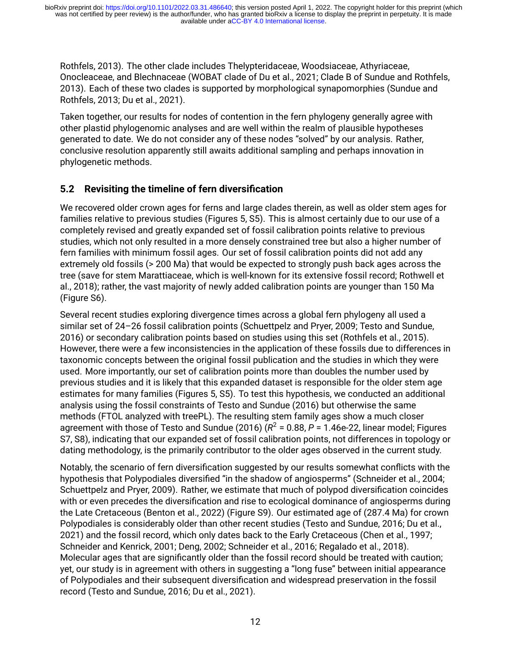Rothfels, 2013). The other clade includes Thelypteridaceae, Woodsiaceae, Athyriaceae, Onocleaceae, and Blechnaceae (WOBAT clade of Du et al., 2021; Clade B of Sundue and Rothfels, 2013). Each of these two clades is supported by morphological synapomorphies (Sundue and Rothfels, 2013; Du et al., 2021).

Taken together, our results for nodes of contention in the fern phylogeny generally agree with other plastid phylogenomic analyses and are well within the realm of plausible hypotheses generated to date. We do not consider any of these nodes "solved" by our analysis. Rather, conclusive resolution apparently still awaits additional sampling and perhaps innovation in phylogenetic methods.

# **5.2 Revisiting the timeline of fern diversification**

We recovered older crown ages for ferns and large clades therein, as well as older stem ages for families relative to previous studies (Figures 5, S5). This is almost certainly due to our use of a completely revised and greatly expanded set of fossil calibration points relative to previous studies, which not only resulted in a more densely constrained tree but also a higher number of fern families with minimum fossil ages. Our set of fossil calibration points did not add any extremely old fossils (> 200 Ma) that would be expected to strongly push back ages across the tree (save for stem Marattiaceae, which is well-known for its extensive fossil record; Rothwell et al., 2018); rather, the vast majority of newly added calibration points are younger than 150 Ma (Figure S6).

Several recent studies exploring divergence times across a global fern phylogeny all used a similar set of 24–26 fossil calibration points (Schuettpelz and Pryer, 2009; Testo and Sundue, 2016) or secondary calibration points based on studies using this set (Rothfels et al., 2015). However, there were a few inconsistencies in the application of these fossils due to differences in taxonomic concepts between the original fossil publication and the studies in which they were used. More importantly, our set of calibration points more than doubles the number used by previous studies and it is likely that this expanded dataset is responsible for the older stem age estimates for many families (Figures 5, S5). To test this hypothesis, we conducted an additional analysis using the fossil constraints of Testo and Sundue (2016) but otherwise the same methods (FTOL analyzed with treePL). The resulting stem family ages show a much closer agreement with those of Testo and Sundue (2016) ( $\mathsf{R}^2$  = 0.88, P = 1.46e-22, linear model; Figures S7, S8), indicating that our expanded set of fossil calibration points, not differences in topology or dating methodology, is the primarily contributor to the older ages observed in the current study.

Notably, the scenario of fern diversification suggested by our results somewhat conflicts with the hypothesis that Polypodiales diversified "in the shadow of angiosperms" (Schneider et al., 2004; Schuettpelz and Pryer, 2009). Rather, we estimate that much of polypod diversification coincides with or even precedes the diversification and rise to ecological dominance of angiosperms during the Late Cretaceous (Benton et al., 2022) (Figure S9). Our estimated age of (287.4 Ma) for crown Polypodiales is considerably older than other recent studies (Testo and Sundue, 2016; Du et al., 2021) and the fossil record, which only dates back to the Early Cretaceous (Chen et al., 1997; Schneider and Kenrick, 2001; Deng, 2002; Schneider et al., 2016; Regalado et al., 2018). Molecular ages that are significantly older than the fossil record should be treated with caution; yet, our study is in agreement with others in suggesting a "long fuse" between initial appearance of Polypodiales and their subsequent diversification and widespread preservation in the fossil record (Testo and Sundue, 2016; Du et al., 2021).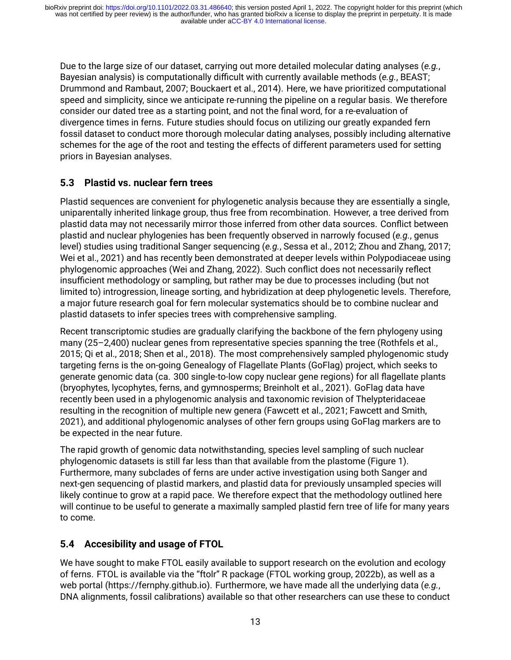Due to the large size of our dataset, carrying out more detailed molecular dating analyses (*e.g.*, Bayesian analysis) is computationally difficult with currently available methods (*e.g.*, BEAST; Drummond and Rambaut, 2007; Bouckaert et al., 2014). Here, we have prioritized computational speed and simplicity, since we anticipate re-running the pipeline on a regular basis. We therefore consider our dated tree as a starting point, and not the final word, for a re-evaluation of divergence times in ferns. Future studies should focus on utilizing our greatly expanded fern fossil dataset to conduct more thorough molecular dating analyses, possibly including alternative schemes for the age of the root and testing the effects of different parameters used for setting priors in Bayesian analyses.

# **5.3 Plastid vs. nuclear fern trees**

Plastid sequences are convenient for phylogenetic analysis because they are essentially a single, uniparentally inherited linkage group, thus free from recombination. However, a tree derived from plastid data may not necessarily mirror those inferred from other data sources. Conflict between plastid and nuclear phylogenies has been frequently observed in narrowly focused (*e.g.*, genus level) studies using traditional Sanger sequencing (*e.g.*, Sessa et al., 2012; Zhou and Zhang, 2017; Wei et al., 2021) and has recently been demonstrated at deeper levels within Polypodiaceae using phylogenomic approaches (Wei and Zhang, 2022). Such conflict does not necessarily reflect insufficient methodology or sampling, but rather may be due to processes including (but not limited to) introgression, lineage sorting, and hybridization at deep phylogenetic levels. Therefore, a major future research goal for fern molecular systematics should be to combine nuclear and plastid datasets to infer species trees with comprehensive sampling.

Recent transcriptomic studies are gradually clarifying the backbone of the fern phylogeny using many (25–2,400) nuclear genes from representative species spanning the tree (Rothfels et al., 2015; Qi et al., 2018; Shen et al., 2018). The most comprehensively sampled phylogenomic study targeting ferns is the on-going Genealogy of Flagellate Plants (GoFlag) project, which seeks to generate genomic data (ca. 300 single-to-low copy nuclear gene regions) for all flagellate plants (bryophytes, lycophytes, ferns, and gymnosperms; Breinholt et al., 2021). GoFlag data have recently been used in a phylogenomic analysis and taxonomic revision of Thelypteridaceae resulting in the recognition of multiple new genera (Fawcett et al., 2021; Fawcett and Smith, 2021), and additional phylogenomic analyses of other fern groups using GoFlag markers are to be expected in the near future.

The rapid growth of genomic data notwithstanding, species level sampling of such nuclear phylogenomic datasets is still far less than that available from the plastome (Figure 1). Furthermore, many subclades of ferns are under active investigation using both Sanger and next-gen sequencing of plastid markers, and plastid data for previously unsampled species will likely continue to grow at a rapid pace. We therefore expect that the methodology outlined here will continue to be useful to generate a maximally sampled plastid fern tree of life for many years to come.

# **5.4 Accesibility and usage of FTOL**

We have sought to make FTOL easily available to support research on the evolution and ecology of ferns. FTOL is available via the "ftolr" R package (FTOL working group, 2022b), as well as a web portal([https://fernphy.github.io\)](https://fernphy.github.io). Furthermore, we have made all the underlying data (*e.g.*, DNA alignments, fossil calibrations) available so that other researchers can use these to conduct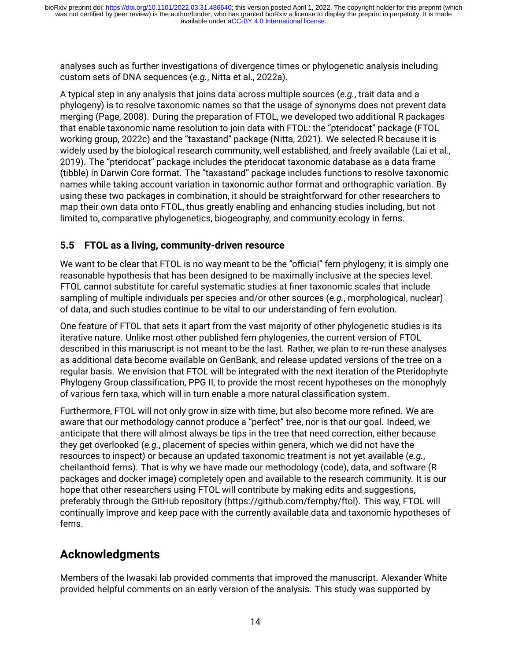analyses such as further investigations of divergence times or phylogenetic analysis including custom sets of DNA sequences (*e.g.*, Nitta et al., 2022a).

A typical step in any analysis that joins data across multiple sources (*e.g.*, trait data and a phylogeny) is to resolve taxonomic names so that the usage of synonyms does not prevent data merging (Page, 2008). During the preparation of FTOL, we developed two additional R packages that enable taxonomic name resolution to join data with FTOL: the "pteridocat" package (FTOL working group, 2022c) and the "taxastand" package (Nitta, 2021). We selected R because it is widely used by the biological research community, well established, and freely available (Lai et al., 2019). The "pteridocat" package includes the pteridocat taxonomic database as a data frame (tibble) in Darwin Core format. The "taxastand" package includes functions to resolve taxonomic names while taking account variation in taxonomic author format and orthographic variation. By using these two packages in combination, it should be straightforward for other researchers to map their own data onto FTOL, thus greatly enabling and enhancing studies including, but not limited to, comparative phylogenetics, biogeography, and community ecology in ferns.

# **5.5 FTOL as a living, community-driven resource**

We want to be clear that FTOL is no way meant to be the "official" fern phylogeny; it is simply one reasonable hypothesis that has been designed to be maximally inclusive at the species level. FTOL cannot substitute for careful systematic studies at finer taxonomic scales that include sampling of multiple individuals per species and/or other sources (*e.g.*, morphological, nuclear) of data, and such studies continue to be vital to our understanding of fern evolution.

One feature of FTOL that sets it apart from the vast majority of other phylogenetic studies is its iterative nature. Unlike most other published fern phylogenies, the current version of FTOL described in this manuscript is not meant to be the last. Rather, we plan to re-run these analyses as additional data become available on GenBank, and release updated versions of the tree on a regular basis. We envision that FTOL will be integrated with the next iteration of the Pteridophyte Phylogeny Group classification, PPG II, to provide the most recent hypotheses on the monophyly of various fern taxa, which will in turn enable a more natural classification system.

Furthermore, FTOL will not only grow in size with time, but also become more refined. We are aware that our methodology cannot produce a "perfect" tree, nor is that our goal. Indeed, we anticipate that there will almost always be tips in the tree that need correction, either because they get overlooked (*e.g.*, placement of species within genera, which we did not have the resources to inspect) or because an updated taxonomic treatment is not yet available (*e.g.*, cheilanthoid ferns). That is why we have made our methodology (code), data, and software (R packages and docker image) completely open and available to the research community. It is our hope that other researchers using FTOL will contribute by making edits and suggestions, preferably through the GitHub repository([https://github.com/fernphy/ftol\)](https://github.com/fernphy/ftol). This way, FTOL will continually improve and keep pace with the currently available data and taxonomic hypotheses of ferns.

# **Acknowledgments**

Members of the Iwasaki lab provided comments that improved the manuscript. Alexander White provided helpful comments on an early version of the analysis. This study was supported by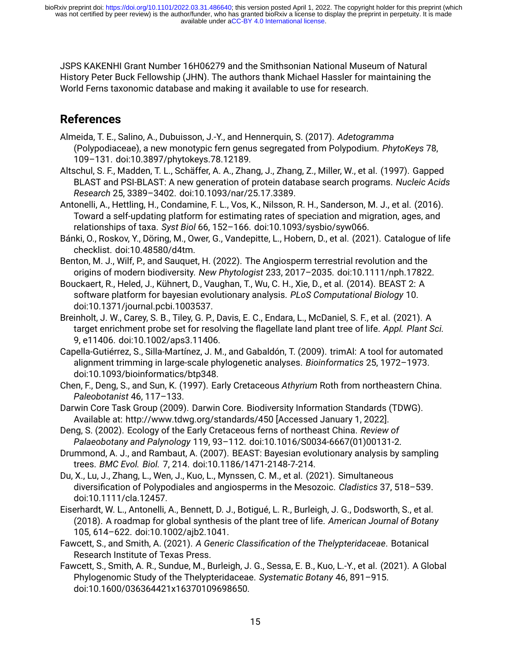JSPS KAKENHI Grant Number 16H06279 and the Smithsonian National Museum of Natural History Peter Buck Fellowship (JHN). The authors thank Michael Hassler for maintaining the World Ferns taxonomic database and making it available to use for research.

# **References**

- Almeida, T. E., Salino, A., Dubuisson, J.-Y., and Hennerquin, S. (2017). *Adetogramma* (Polypodiaceae), a new monotypic fern genus segregated from Polypodium. *PhytoKeys* 78, 109–131. doi[:10.3897/phytokeys.78.12189](https://doi.org/10.3897/phytokeys.78.12189).
- Altschul, S. F., Madden, T. L., Schäffer, A. A., Zhang, J., Zhang, Z., Miller, W., et al. (1997). Gapped BLAST and PSI-BLAST: A new generation of protein database search programs. *Nucleic Acids Research* 25, 3389–3402. doi:[10.1093/nar/25.17.3389.](https://doi.org/10.1093/nar/25.17.3389)
- Antonelli, A., Hettling, H., Condamine, F. L., Vos, K., Nilsson, R. H., Sanderson, M. J., et al. (2016). Toward a self-updating platform for estimating rates of speciation and migration, ages, and relationships of taxa. *Syst Biol* 66, 152–166. doi[:10.1093/sysbio/syw066.](https://doi.org/10.1093/sysbio/syw066)
- Bánki, O., Roskov, Y., Döring, M., Ower, G., Vandepitte, L., Hobern, D., et al. (2021). Catalogue of life checklist. doi:[10.48580/d4tm](https://doi.org/10.48580/d4tm).
- Benton, M. J., Wilf, P., and Sauquet, H. (2022). The Angiosperm terrestrial revolution and the origins of modern biodiversity. *New Phytologist* 233, 2017–2035. doi:[10.1111/nph.17822.](https://doi.org/10.1111/nph.17822)
- Bouckaert, R., Heled, J., Kühnert, D., Vaughan, T., Wu, C. H., Xie, D., et al. (2014). BEAST 2: A software platform for bayesian evolutionary analysis. *PLoS Computational Biology* 10. doi[:10.1371/journal.pcbi.1003537.](https://doi.org/10.1371/journal.pcbi.1003537)
- Breinholt, J. W., Carey, S. B., Tiley, G. P., Davis, E. C., Endara, L., McDaniel, S. F., et al. (2021). A target enrichment probe set for resolving the flagellate land plant tree of life. *Appl. Plant Sci.* 9, e11406. doi:[10.1002/aps3.11406](https://doi.org/10.1002/aps3.11406).
- Capella-Gutiérrez, S., Silla-Martínez, J. M., and Gabaldón, T. (2009). trimAl: A tool for automated alignment trimming in large-scale phylogenetic analyses. *Bioinformatics* 25, 1972–1973. doi[:10.1093/bioinformatics/btp348](https://doi.org/10.1093/bioinformatics/btp348).
- Chen, F., Deng, S., and Sun, K. (1997). Early Cretaceous *Athyrium* Roth from northeastern China. *Paleobotanist* 46, 117–133.
- Darwin Core Task Group (2009). Darwin Core. Biodiversity Information Standards (TDWG). Available at:<http://www.tdwg.org/standards/450> [Accessed January 1, 2022].
- Deng, S. (2002). Ecology of the Early Cretaceous ferns of northeast China. *Review of Palaeobotany and Palynology* 119, 93–112. doi[:10.1016/S0034-6667\(01\)00131-2.](https://doi.org/10.1016/S0034-6667(01)00131-2)
- Drummond, A. J., and Rambaut, A. (2007). BEAST: Bayesian evolutionary analysis by sampling trees. *BMC Evol. Biol.* 7, 214. doi:[10.1186/1471-2148-7-214](https://doi.org/10.1186/1471-2148-7-214).
- Du, X., Lu, J., Zhang, L., Wen, J., Kuo, L., Mynssen, C. M., et al. (2021). Simultaneous diversification of Polypodiales and angiosperms in the Mesozoic. *Cladistics* 37, 518–539. doi[:10.1111/cla.12457.](https://doi.org/10.1111/cla.12457)
- Eiserhardt, W. L., Antonelli, A., Bennett, D. J., Botigué, L. R., Burleigh, J. G., Dodsworth, S., et al. (2018). A roadmap for global synthesis of the plant tree of life. *American Journal of Botany* 105, 614–622. doi:[10.1002/ajb2.1041.](https://doi.org/10.1002/ajb2.1041)
- Fawcett, S., and Smith, A. (2021). *A Generic Classification of the Thelypteridaceae*. Botanical Research Institute of Texas Press.
- Fawcett, S., Smith, A. R., Sundue, M., Burleigh, J. G., Sessa, E. B., Kuo, L.-Y., et al. (2021). A Global Phylogenomic Study of the Thelypteridaceae. *Systematic Botany* 46, 891–915. doi[:10.1600/036364421x16370109698650](https://doi.org/10.1600/036364421x16370109698650).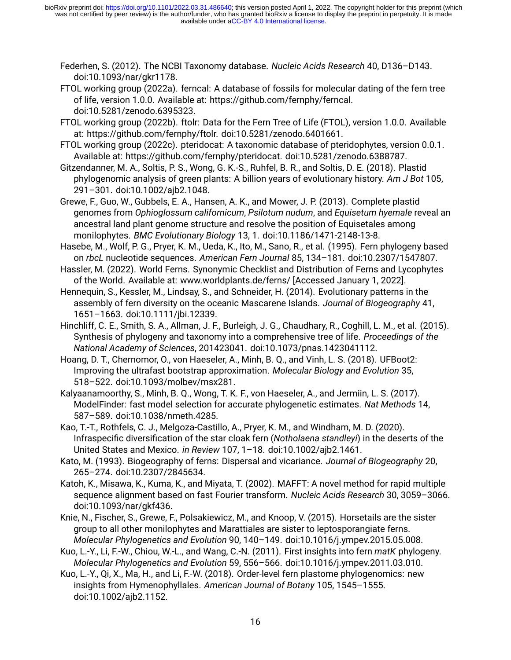- Federhen, S. (2012). The NCBI Taxonomy database. *Nucleic Acids Research* 40, D136–D143. doi[:10.1093/nar/gkr1178](https://doi.org/10.1093/nar/gkr1178).
- FTOL working group (2022a). ferncal: A database of fossils for molecular dating of the fern tree of life, version 1.0.0. Available at: https://github.com/fernphy/ferncal. doi[:10.5281/zenodo.6395323.](https://doi.org/10.5281/zenodo.6395323)
- FTOL working group (2022b). ftolr: Data for the Fern Tree of Life (FTOL), version 1.0.0. Available at: https://github.com/fernphy/ftolr. doi:[10.5281/zenodo.6401661.](https://doi.org/10.5281/zenodo.6401661)
- FTOL working group (2022c). pteridocat: A taxonomic database of pteridophytes, version 0.0.1. Available at: https://github.com/fernphy/pteridocat. doi:[10.5281/zenodo.6388787](https://doi.org/10.5281/zenodo.6388787).
- Gitzendanner, M. A., Soltis, P. S., Wong, G. K.-S., Ruhfel, B. R., and Soltis, D. E. (2018). Plastid phylogenomic analysis of green plants: A billion years of evolutionary history. *Am J Bot* 105, 291–301. doi[:10.1002/ajb2.1048.](https://doi.org/10.1002/ajb2.1048)
- Grewe, F., Guo, W., Gubbels, E. A., Hansen, A. K., and Mower, J. P. (2013). Complete plastid genomes from *Ophioglossum californicum*, *Psilotum nudum*, and *Equisetum hyemale* reveal an ancestral land plant genome structure and resolve the position of Equisetales among monilophytes. *BMC Evolutionary Biology* 13, 1. doi[:10.1186/1471-2148-13-8.](https://doi.org/10.1186/1471-2148-13-8)
- Hasebe, M., Wolf, P. G., Pryer, K. M., Ueda, K., Ito, M., Sano, R., et al. (1995). Fern phylogeny based on *rbcL* nucleotide sequences. *American Fern Journal* 85, 134–181. doi:[10.2307/1547807.](https://doi.org/10.2307/1547807)
- Hassler, M. (2022). World Ferns. Synonymic Checklist and Distribution of Ferns and Lycophytes of the World. Available at: [www.worldplants.de/ferns/](https://www.worldplants.de/ferns/) [Accessed January 1, 2022].
- Hennequin, S., Kessler, M., Lindsay, S., and Schneider, H. (2014). Evolutionary patterns in the assembly of fern diversity on the oceanic Mascarene Islands. *Journal of Biogeography* 41, 1651–1663. doi:[10.1111/jbi.12339.](https://doi.org/10.1111/jbi.12339)
- Hinchliff, C. E., Smith, S. A., Allman, J. F., Burleigh, J. G., Chaudhary, R., Coghill, L. M., et al. (2015). Synthesis of phylogeny and taxonomy into a comprehensive tree of life. *Proceedings of the National Academy of Sciences*, 201423041. doi:[10.1073/pnas.1423041112](https://doi.org/10.1073/pnas.1423041112).
- Hoang, D. T., Chernomor, O., von Haeseler, A., Minh, B. Q., and Vinh, L. S. (2018). UFBoot2: Improving the ultrafast bootstrap approximation. *Molecular Biology and Evolution* 35, 518–522. doi[:10.1093/molbev/msx281.](https://doi.org/10.1093/molbev/msx281)
- Kalyaanamoorthy, S., Minh, B. Q., Wong, T. K. F., von Haeseler, A., and Jermiin, L. S. (2017). ModelFinder: fast model selection for accurate phylogenetic estimates. *Nat Methods* 14, 587–589. doi[:10.1038/nmeth.4285.](https://doi.org/10.1038/nmeth.4285)
- Kao, T.-T., Rothfels, C. J., Melgoza-Castillo, A., Pryer, K. M., and Windham, M. D. (2020). Infraspecific diversification of the star cloak fern (*Notholaena standleyi*) in the deserts of the United States and Mexico. *in Review* 107, 1–18. doi[:10.1002/ajb2.1461](https://doi.org/10.1002/ajb2.1461).
- Kato, M. (1993). Biogeography of ferns: Dispersal and vicariance. *Journal of Biogeography* 20, 265–274. doi[:10.2307/2845634](https://doi.org/10.2307/2845634).
- Katoh, K., Misawa, K., Kuma, K., and Miyata, T. (2002). MAFFT: A novel method for rapid multiple sequence alignment based on fast Fourier transform. *Nucleic Acids Research* 30, 3059–3066. doi[:10.1093/nar/gkf436](https://doi.org/10.1093/nar/gkf436).
- Knie, N., Fischer, S., Grewe, F., Polsakiewicz, M., and Knoop, V. (2015). Horsetails are the sister group to all other monilophytes and Marattiales are sister to leptosporangiate ferns. *Molecular Phylogenetics and Evolution* 90, 140–149. doi:[10.1016/j.ympev.2015.05.008](https://doi.org/10.1016/j.ympev.2015.05.008).
- Kuo, L.-Y., Li, F.-W., Chiou, W.-L., and Wang, C.-N. (2011). First insights into fern *matK* phylogeny. *Molecular Phylogenetics and Evolution* 59, 556–566. doi:[10.1016/j.ympev.2011.03.010](https://doi.org/10.1016/j.ympev.2011.03.010).
- Kuo, L.-Y., Qi, X., Ma, H., and Li, F.-W. (2018). Order-level fern plastome phylogenomics: new insights from Hymenophyllales. *American Journal of Botany* 105, 1545–1555. doi[:10.1002/ajb2.1152](https://doi.org/10.1002/ajb2.1152).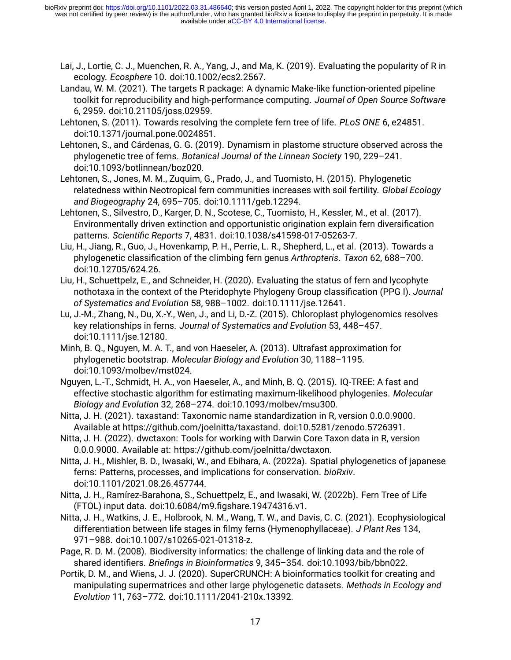- Lai, J., Lortie, C. J., Muenchen, R. A., Yang, J., and Ma, K. (2019). Evaluating the popularity of R in ecology. *Ecosphere* 10. doi[:10.1002/ecs2.2567.](https://doi.org/10.1002/ecs2.2567)
- Landau, W. M. (2021). The targets R package: A dynamic Make-like function-oriented pipeline toolkit for reproducibility and high-performance computing. *Journal of Open Source Software* 6, 2959. doi:[10.21105/joss.02959.](https://doi.org/10.21105/joss.02959)
- Lehtonen, S. (2011). Towards resolving the complete fern tree of life. *PLoS ONE* 6, e24851. doi[:10.1371/journal.pone.0024851](https://doi.org/10.1371/journal.pone.0024851).
- Lehtonen, S., and Cárdenas, G. G. (2019). Dynamism in plastome structure observed across the phylogenetic tree of ferns. *Botanical Journal of the Linnean Society* 190, 229–241. doi[:10.1093/botlinnean/boz020.](https://doi.org/10.1093/botlinnean/boz020)
- Lehtonen, S., Jones, M. M., Zuquim, G., Prado, J., and Tuomisto, H. (2015). Phylogenetic relatedness within Neotropical fern communities increases with soil fertility. *Global Ecology and Biogeography* 24, 695–705. doi[:10.1111/geb.12294.](https://doi.org/10.1111/geb.12294)
- Lehtonen, S., Silvestro, D., Karger, D. N., Scotese, C., Tuomisto, H., Kessler, M., et al. (2017). Environmentally driven extinction and opportunistic origination explain fern diversification patterns. *Scientific Reports* 7, 4831. doi[:10.1038/s41598-017-05263-7.](https://doi.org/10.1038/s41598-017-05263-7)
- Liu, H., Jiang, R., Guo, J., Hovenkamp, P. H., Perrie, L. R., Shepherd, L., et al. (2013). Towards a phylogenetic classification of the climbing fern genus *Arthropteris*. *Taxon* 62, 688–700. doi[:10.12705/624.26.](https://doi.org/10.12705/624.26)
- Liu, H., Schuettpelz, E., and Schneider, H. (2020). Evaluating the status of fern and lycophyte nothotaxa in the context of the Pteridophyte Phylogeny Group classification (PPG I). *Journal of Systematics and Evolution* 58, 988–1002. doi[:10.1111/jse.12641.](https://doi.org/10.1111/jse.12641)
- Lu, J.-M., Zhang, N., Du, X.-Y., Wen, J., and Li, D.-Z. (2015). Chloroplast phylogenomics resolves key relationships in ferns. *Journal of Systematics and Evolution* 53, 448–457. doi[:10.1111/jse.12180.](https://doi.org/10.1111/jse.12180)
- Minh, B. Q., Nguyen, M. A. T., and von Haeseler, A. (2013). Ultrafast approximation for phylogenetic bootstrap. *Molecular Biology and Evolution* 30, 1188–1195. doi[:10.1093/molbev/mst024](https://doi.org/10.1093/molbev/mst024).
- Nguyen, L.-T., Schmidt, H. A., von Haeseler, A., and Minh, B. Q. (2015). IQ-TREE: A fast and effective stochastic algorithm for estimating maximum-likelihood phylogenies. *Molecular Biology and Evolution* 32, 268–274. doi[:10.1093/molbev/msu300.](https://doi.org/10.1093/molbev/msu300)
- Nitta, J. H. (2021). taxastand: Taxonomic name standardization in R, version 0.0.0.9000. Available at https://github.com/joelnitta/taxastand. doi[:10.5281/zenodo.5726391](https://doi.org/10.5281/zenodo.5726391).
- Nitta, J. H. (2022). dwctaxon: Tools for working with Darwin Core Taxon data in R, version 0.0.0.9000. Available at:<https://github.com/joelnitta/dwctaxon>.
- Nitta, J. H., Mishler, B. D., Iwasaki, W., and Ebihara, A. (2022a). Spatial phylogenetics of japanese ferns: Patterns, processes, and implications for conservation. *bioRxiv*. doi[:10.1101/2021.08.26.457744.](https://doi.org/10.1101/2021.08.26.457744)
- Nitta, J. H., Ramírez-Barahona, S., Schuettpelz, E., and Iwasaki, W. (2022b). Fern Tree of Life (FTOL) input data. doi[:10.6084/m9.figshare.19474316.v1](https://doi.org/10.6084/m9.figshare.19474316.v1).
- Nitta, J. H., Watkins, J. E., Holbrook, N. M., Wang, T. W., and Davis, C. C. (2021). Ecophysiological differentiation between life stages in filmy ferns (Hymenophyllaceae). *J Plant Res* 134, 971–988. doi[:10.1007/s10265-021-01318-z](https://doi.org/10.1007/s10265-021-01318-z).
- Page, R. D. M. (2008). Biodiversity informatics: the challenge of linking data and the role of shared identifiers. *Briefings in Bioinformatics* 9, 345–354. doi:[10.1093/bib/bbn022.](https://doi.org/10.1093/bib/bbn022)
- Portik, D. M., and Wiens, J. J. (2020). SuperCRUNCH: A bioinformatics toolkit for creating and manipulating supermatrices and other large phylogenetic datasets. *Methods in Ecology and Evolution* 11, 763–772. doi:[10.1111/2041-210x.13392.](https://doi.org/10.1111/2041-210x.13392)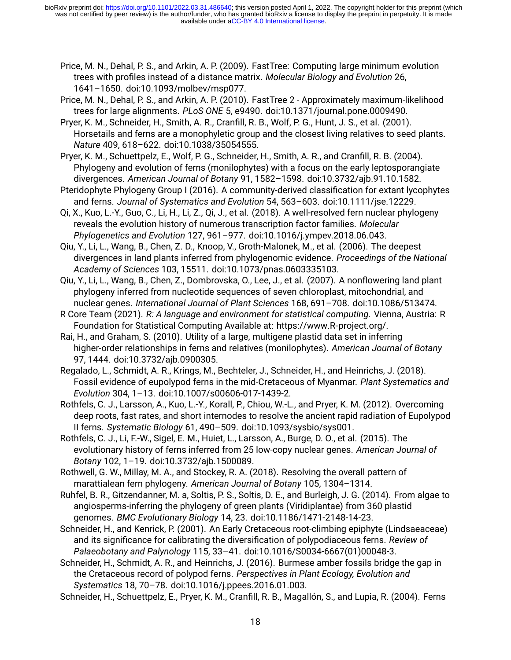- Price, M. N., Dehal, P. S., and Arkin, A. P. (2009). FastTree: Computing large minimum evolution trees with profiles instead of a distance matrix. *Molecular Biology and Evolution* 26, 1641–1650. doi:[10.1093/molbev/msp077.](https://doi.org/10.1093/molbev/msp077)
- Price, M. N., Dehal, P. S., and Arkin, A. P. (2010). FastTree 2 Approximately maximum-likelihood trees for large alignments. *PLoS ONE* 5, e9490. doi:[10.1371/journal.pone.0009490.](https://doi.org/10.1371/journal.pone.0009490)

Pryer, K. M., Schneider, H., Smith, A. R., Cranfill, R. B., Wolf, P. G., Hunt, J. S., et al. (2001). Horsetails and ferns are a monophyletic group and the closest living relatives to seed plants. *Nature* 409, 618–622. doi[:10.1038/35054555](https://doi.org/10.1038/35054555).

Pryer, K. M., Schuettpelz, E., Wolf, P. G., Schneider, H., Smith, A. R., and Cranfill, R. B. (2004). Phylogeny and evolution of ferns (monilophytes) with a focus on the early leptosporangiate divergences. *American Journal of Botany* 91, 1582–1598. doi:[10.3732/ajb.91.10.1582](https://doi.org/10.3732/ajb.91.10.1582).

Pteridophyte Phylogeny Group I (2016). A community-derived classification for extant lycophytes and ferns. *Journal of Systematics and Evolution* 54, 563–603. doi[:10.1111/jse.12229](https://doi.org/10.1111/jse.12229).

Qi, X., Kuo, L.-Y., Guo, C., Li, H., Li, Z., Qi, J., et al. (2018). A well-resolved fern nuclear phylogeny reveals the evolution history of numerous transcription factor families. *Molecular Phylogenetics and Evolution* 127, 961–977. doi:[10.1016/j.ympev.2018.06.043.](https://doi.org/10.1016/j.ympev.2018.06.043)

Qiu, Y., Li, L., Wang, B., Chen, Z. D., Knoop, V., Groth-Malonek, M., et al. (2006). The deepest divergences in land plants inferred from phylogenomic evidence. *Proceedings of the National Academy of Sciences* 103, 15511. doi[:10.1073/pnas.0603335103](https://doi.org/10.1073/pnas.0603335103).

Qiu, Y., Li, L., Wang, B., Chen, Z., Dombrovska, O., Lee, J., et al. (2007). A nonflowering land plant phylogeny inferred from nucleotide sequences of seven chloroplast, mitochondrial, and nuclear genes. *International Journal of Plant Sciences* 168, 691–708. doi[:10.1086/513474](https://doi.org/10.1086/513474).

R Core Team (2021). *R: A language and environment for statistical computing*. Vienna, Austria: R Foundation for Statistical Computing Available at: [https://www.R-project.org/.](https://www.R-project.org/)

Rai, H., and Graham, S. (2010). Utility of a large, multigene plastid data set in inferring higher-order relationships in ferns and relatives (monilophytes). *American Journal of Botany* 97, 1444. doi[:10.3732/ajb.0900305.](https://doi.org/10.3732/ajb.0900305)

Regalado, L., Schmidt, A. R., Krings, M., Bechteler, J., Schneider, H., and Heinrichs, J. (2018). Fossil evidence of eupolypod ferns in the mid-Cretaceous of Myanmar. *Plant Systematics and Evolution* 304, 1–13. doi:[10.1007/s00606-017-1439-2](https://doi.org/10.1007/s00606-017-1439-2).

Rothfels, C. J., Larsson, A., Kuo, L.-Y., Korall, P., Chiou, W.-L., and Pryer, K. M. (2012). Overcoming deep roots, fast rates, and short internodes to resolve the ancient rapid radiation of Eupolypod II ferns. *Systematic Biology* 61, 490–509. doi[:10.1093/sysbio/sys001.](https://doi.org/10.1093/sysbio/sys001)

Rothfels, C. J., Li, F.-W., Sigel, E. M., Huiet, L., Larsson, A., Burge, D. O., et al. (2015). The evolutionary history of ferns inferred from 25 low-copy nuclear genes. *American Journal of Botany* 102, 1–19. doi[:10.3732/ajb.1500089.](https://doi.org/10.3732/ajb.1500089)

Rothwell, G. W., Millay, M. A., and Stockey, R. A. (2018). Resolving the overall pattern of marattialean fern phylogeny. *American Journal of Botany* 105, 1304–1314.

Ruhfel, B. R., Gitzendanner, M. a, Soltis, P. S., Soltis, D. E., and Burleigh, J. G. (2014). From algae to angiosperms-inferring the phylogeny of green plants (Viridiplantae) from 360 plastid genomes. *BMC Evolutionary Biology* 14, 23. doi[:10.1186/1471-2148-14-23.](https://doi.org/10.1186/1471-2148-14-23)

Schneider, H., and Kenrick, P. (2001). An Early Cretaceous root-climbing epiphyte (Lindsaeaceae) and its significance for calibrating the diversification of polypodiaceous ferns. *Review of Palaeobotany and Palynology* 115, 33–41. doi[:10.1016/S0034-6667\(01\)00048-3](https://doi.org/10.1016/S0034-6667(01)00048-3).

Schneider, H., Schmidt, A. R., and Heinrichs, J. (2016). Burmese amber fossils bridge the gap in the Cretaceous record of polypod ferns. *Perspectives in Plant Ecology, Evolution and Systematics* 18, 70–78. doi[:10.1016/j.ppees.2016.01.003](https://doi.org/10.1016/j.ppees.2016.01.003).

Schneider, H., Schuettpelz, E., Pryer, K. M., Cranfill, R. B., Magallón, S., and Lupia, R. (2004). Ferns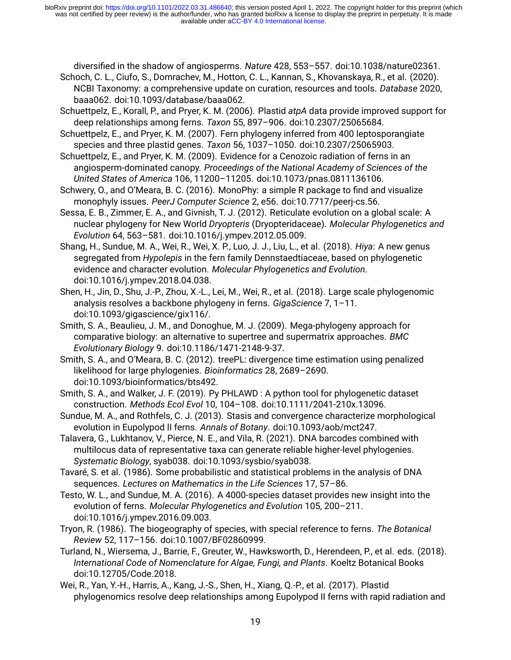diversified in the shadow of angiosperms. *Nature* 428, 553–557. doi:[10.1038/nature02361](https://doi.org/10.1038/nature02361).

- Schoch, C. L., Ciufo, S., Domrachev, M., Hotton, C. L., Kannan, S., Khovanskaya, R., et al. (2020). NCBI Taxonomy: a comprehensive update on curation, resources and tools. *Database* 2020, baaa062. doi:[10.1093/database/baaa062.](https://doi.org/10.1093/database/baaa062)
- Schuettpelz, E., Korall, P., and Pryer, K. M. (2006). Plastid *atpA* data provide improved support for deep relationships among ferns. *Taxon* 55, 897–906. doi[:10.2307/25065684.](https://doi.org/10.2307/25065684)
- Schuettpelz, E., and Pryer, K. M. (2007). Fern phylogeny inferred from 400 leptosporangiate species and three plastid genes. *Taxon* 56, 1037–1050. doi:[10.2307/25065903.](https://doi.org/10.2307/25065903)
- Schuettpelz, E., and Pryer, K. M. (2009). Evidence for a Cenozoic radiation of ferns in an angiosperm-dominated canopy. *Proceedings of the National Academy of Sciences of the United States of America* 106, 11200–11205. doi[:10.1073/pnas.0811136106](https://doi.org/10.1073/pnas.0811136106).
- Schwery, O., and O'Meara, B. C. (2016). MonoPhy: a simple R package to find and visualize monophyly issues. *PeerJ Computer Science* 2, e56. doi[:10.7717/peerj-cs.56.](https://doi.org/10.7717/peerj-cs.56)
- Sessa, E. B., Zimmer, E. A., and Givnish, T. J. (2012). Reticulate evolution on a global scale: A nuclear phylogeny for New World *Dryopteris* (Dryopteridaceae). *Molecular Phylogenetics and Evolution* 64, 563–581. doi:[10.1016/j.ympev.2012.05.009.](https://doi.org/10.1016/j.ympev.2012.05.009)
- Shang, H., Sundue, M. A., Wei, R., Wei, X. P., Luo, J. J., Liu, L., et al. (2018). *Hiya*: A new genus segregated from *Hypolepis* in the fern family Dennstaedtiaceae, based on phylogenetic evidence and character evolution. *Molecular Phylogenetics and Evolution*. doi[:10.1016/j.ympev.2018.04.038.](https://doi.org/10.1016/j.ympev.2018.04.038)
- Shen, H., Jin, D., Shu, J.-P., Zhou, X.-L., Lei, M., Wei, R., et al. (2018). Large scale phylogenomic analysis resolves a backbone phylogeny in ferns. *GigaScience* 7, 1–11. doi[:10.1093/gigascience/gix116/.](https://doi.org/10.1093/gigascience/gix116/)
- Smith, S. A., Beaulieu, J. M., and Donoghue, M. J. (2009). Mega-phylogeny approach for comparative biology: an alternative to supertree and supermatrix approaches. *BMC Evolutionary Biology* 9. doi:[10.1186/1471-2148-9-37](https://doi.org/10.1186/1471-2148-9-37).
- Smith, S. A., and O'Meara, B. C. (2012). treePL: divergence time estimation using penalized likelihood for large phylogenies. *Bioinformatics* 28, 2689–2690. doi[:10.1093/bioinformatics/bts492.](https://doi.org/10.1093/bioinformatics/bts492)
- Smith, S. A., and Walker, J. F. (2019). Py PHLAWD : A python tool for phylogenetic dataset construction. *Methods Ecol Evol* 10, 104–108. doi[:10.1111/2041-210x.13096.](https://doi.org/10.1111/2041-210x.13096)
- Sundue, M. A., and Rothfels, C. J. (2013). Stasis and convergence characterize morphological evolution in Eupolypod II ferns. *Annals of Botany*. doi[:10.1093/aob/mct247](https://doi.org/10.1093/aob/mct247).
- Talavera, G., Lukhtanov, V., Pierce, N. E., and Vila, R. (2021). DNA barcodes combined with multilocus data of representative taxa can generate reliable higher-level phylogenies. *Systematic Biology*, syab038. doi[:10.1093/sysbio/syab038](https://doi.org/10.1093/sysbio/syab038).
- Tavaré, S. et al. (1986). Some probabilistic and statistical problems in the analysis of DNA sequences. *Lectures on Mathematics in the Life Sciences* 17, 57–86.
- Testo, W. L., and Sundue, M. A. (2016). A 4000-species dataset provides new insight into the evolution of ferns. *Molecular Phylogenetics and Evolution* 105, 200–211. doi[:10.1016/j.ympev.2016.09.003.](https://doi.org/10.1016/j.ympev.2016.09.003)
- Tryon, R. (1986). The biogeography of species, with special reference to ferns. *The Botanical Review* 52, 117–156. doi[:10.1007/BF02860999.](https://doi.org/10.1007/BF02860999)
- Turland, N., Wiersema, J., Barrie, F., Greuter, W., Hawksworth, D., Herendeen, P., et al. eds. (2018). *International Code of Nomenclature for Algae, Fungi, and Plants*. Koeltz Botanical Books doi[:10.12705/Code.2018.](https://doi.org/10.12705/Code.2018)
- Wei, R., Yan, Y.-H., Harris, A., Kang, J.-S., Shen, H., Xiang, Q.-P., et al. (2017). Plastid phylogenomics resolve deep relationships among Eupolypod II ferns with rapid radiation and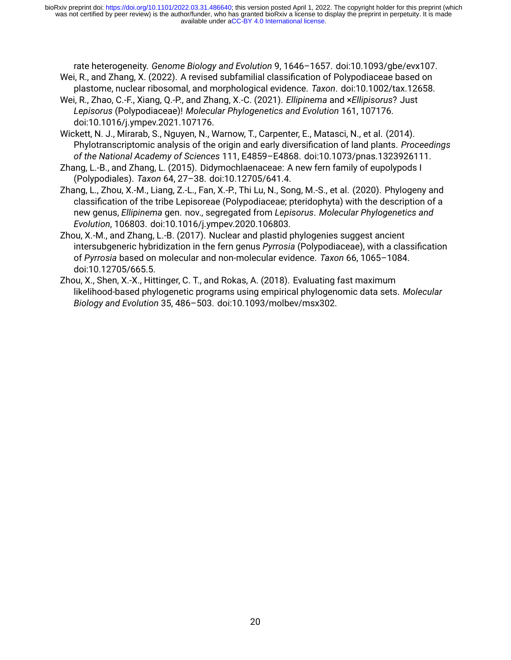rate heterogeneity. *Genome Biology and Evolution* 9, 1646–1657. doi[:10.1093/gbe/evx107.](https://doi.org/10.1093/gbe/evx107) Wei, R., and Zhang, X. (2022). A revised subfamilial classification of Polypodiaceae based on

- plastome, nuclear ribosomal, and morphological evidence. *Taxon*. doi[:10.1002/tax.12658.](https://doi.org/10.1002/tax.12658)
- Wei, R., Zhao, C.-F., Xiang, Q.-P., and Zhang, X.-C. (2021). *Ellipinema* and ×*Ellipisorus*? Just *Lepisorus* (Polypodiaceae)! *Molecular Phylogenetics and Evolution* 161, 107176. doi[:10.1016/j.ympev.2021.107176.](https://doi.org/10.1016/j.ympev.2021.107176)
- Wickett, N. J., Mirarab, S., Nguyen, N., Warnow, T., Carpenter, E., Matasci, N., et al. (2014). Phylotranscriptomic analysis of the origin and early diversification of land plants. *Proceedings of the National Academy of Sciences* 111, E4859–E4868. doi[:10.1073/pnas.1323926111](https://doi.org/10.1073/pnas.1323926111).
- Zhang, L.-B., and Zhang, L. (2015). Didymochlaenaceae: A new fern family of eupolypods I (Polypodiales). *Taxon* 64, 27–38. doi:[10.12705/641.4](https://doi.org/10.12705/641.4).
- Zhang, L., Zhou, X.-M., Liang, Z.-L., Fan, X.-P., Thi Lu, N., Song, M.-S., et al. (2020). Phylogeny and classification of the tribe Lepisoreae (Polypodiaceae; pteridophyta) with the description of a new genus, *Ellipinema* gen. nov., segregated from *Lepisorus*. *Molecular Phylogenetics and Evolution*, 106803. doi:[10.1016/j.ympev.2020.106803.](https://doi.org/10.1016/j.ympev.2020.106803)
- Zhou, X.-M., and Zhang, L.-B. (2017). Nuclear and plastid phylogenies suggest ancient intersubgeneric hybridization in the fern genus *Pyrrosia* (Polypodiaceae), with a classification of *Pyrrosia* based on molecular and non-molecular evidence. *Taxon* 66, 1065–1084. doi[:10.12705/665.5.](https://doi.org/10.12705/665.5)
- Zhou, X., Shen, X.-X., Hittinger, C. T., and Rokas, A. (2018). Evaluating fast maximum likelihood-based phylogenetic programs using empirical phylogenomic data sets. *Molecular Biology and Evolution* 35, 486–503. doi[:10.1093/molbev/msx302](https://doi.org/10.1093/molbev/msx302).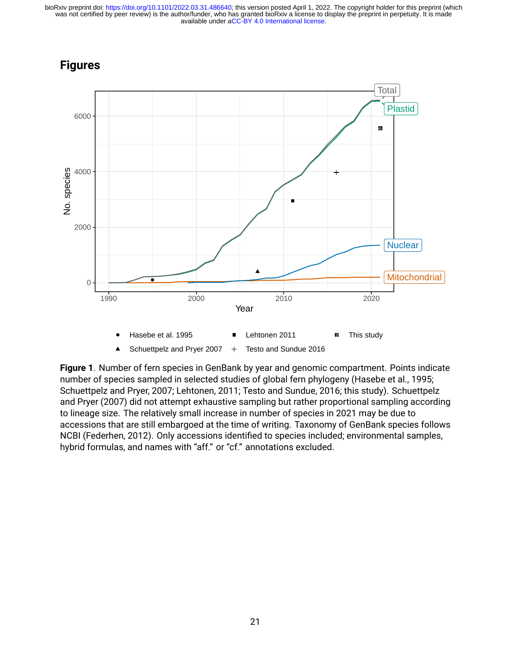



**Figure 1**. Number of fern species in GenBank by year and genomic compartment. Points indicate number of species sampled in selected studies of global fern phylogeny (Hasebe et al., 1995; Schuettpelz and Pryer, 2007; Lehtonen, 2011; Testo and Sundue, 2016; this study). Schuettpelz and Pryer (2007) did not attempt exhaustive sampling but rather proportional sampling according to lineage size. The relatively small increase in number of species in 2021 may be due to accessions that are still embargoed at the time of writing. Taxonomy of GenBank species follows NCBI (Federhen, 2012). Only accessions identified to species included; environmental samples, hybrid formulas, and names with "aff." or "cf." annotations excluded.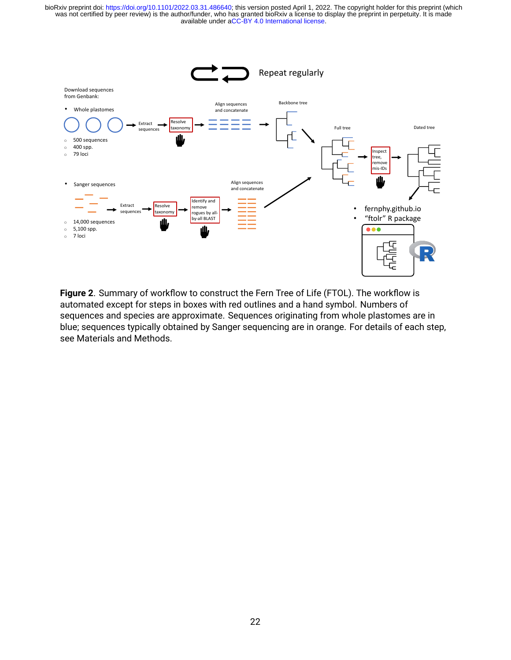

**Figure 2**. Summary of workflow to construct the Fern Tree of Life (FTOL). The workflow is automated except for steps in boxes with red outlines and a hand symbol. Numbers of sequences and species are approximate. Sequences originating from whole plastomes are in blue; sequences typically obtained by Sanger sequencing are in orange. For details of each step, see Materials and Methods.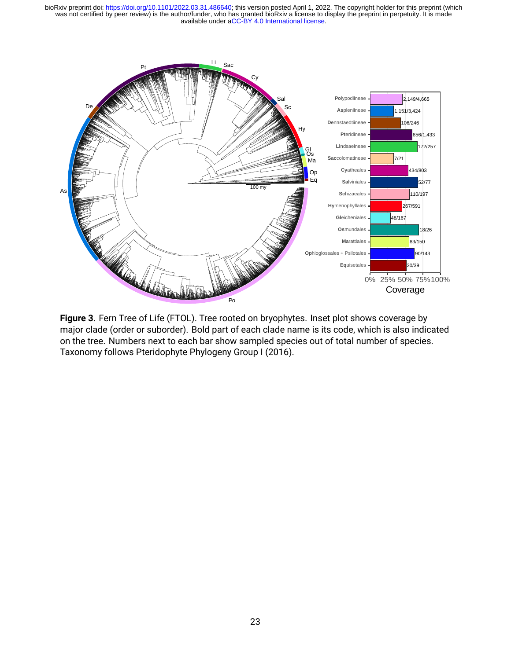

**Figure 3**. Fern Tree of Life (FTOL). Tree rooted on bryophytes. Inset plot shows coverage by major clade (order or suborder). Bold part of each clade name is its code, which is also indicated on the tree. Numbers next to each bar show sampled species out of total number of species. Taxonomy follows Pteridophyte Phylogeny Group I (2016).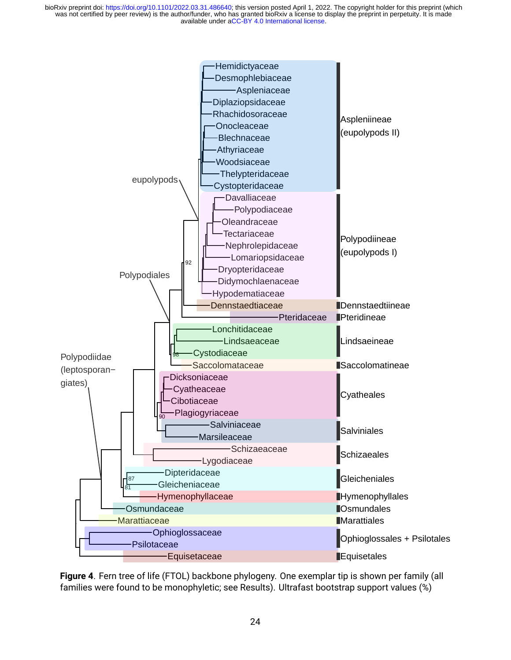

**Figure 4**. Fern tree of life (FTOL) backbone phylogeny. One exemplar tip is shown per family (all families were found to be monophyletic; see Results). Ultrafast bootstrap support values (%)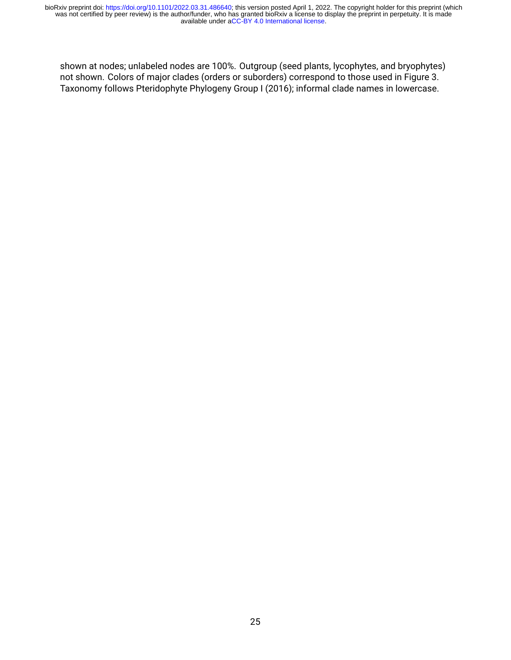shown at nodes; unlabeled nodes are 100%. Outgroup (seed plants, lycophytes, and bryophytes) not shown. Colors of major clades (orders or suborders) correspond to those used in Figure 3. Taxonomy follows Pteridophyte Phylogeny Group I (2016); informal clade names in lowercase.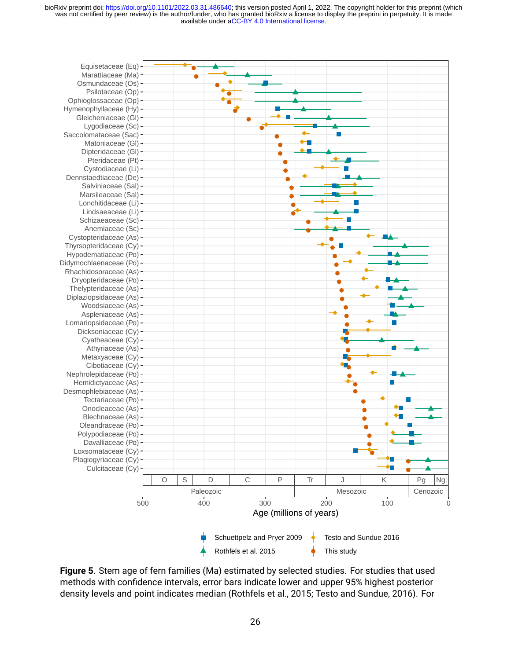

**Figure 5**. Stem age of fern families (Ma) estimated by selected studies. For studies that used methods with confidence intervals, error bars indicate lower and upper 95% highest posterior density levels and point indicates median (Rothfels et al., 2015; Testo and Sundue, 2016). For